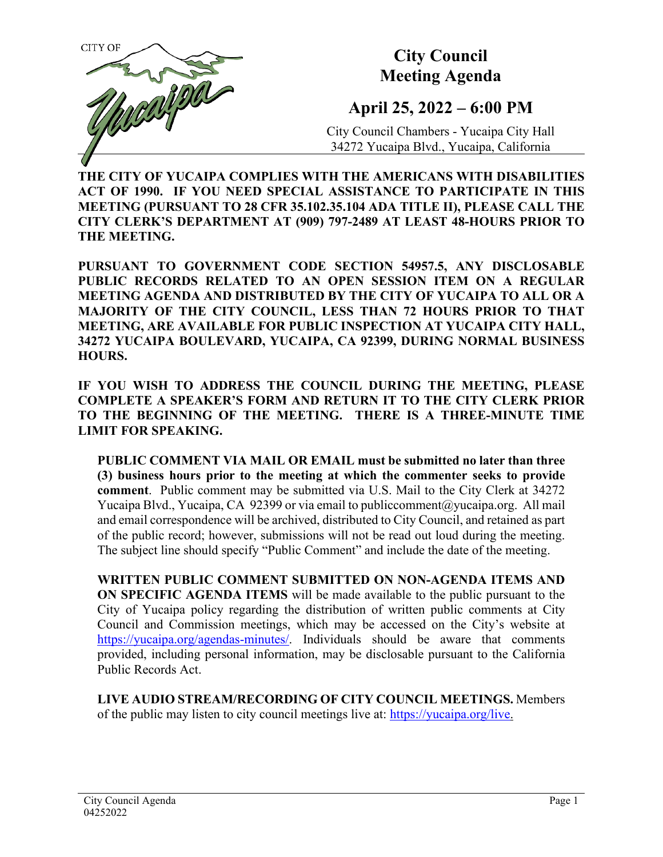

# **City Council Meeting Agenda**

# **April 25, 2022 – 6:00 PM**

City Council Chambers - Yucaipa City Hall 34272 Yucaipa Blvd., Yucaipa, California

**THE CITY OF YUCAIPA COMPLIES WITH THE AMERICANS WITH DISABILITIES ACT OF 1990. IF YOU NEED SPECIAL ASSISTANCE TO PARTICIPATE IN THIS MEETING (PURSUANT TO 28 CFR 35.102.35.104 ADA TITLE II), PLEASE CALL THE CITY CLERK'S DEPARTMENT AT (909) 797-2489 AT LEAST 48-HOURS PRIOR TO THE MEETING.**

**PURSUANT TO GOVERNMENT CODE SECTION 54957.5, ANY DISCLOSABLE PUBLIC RECORDS RELATED TO AN OPEN SESSION ITEM ON A REGULAR MEETING AGENDA AND DISTRIBUTED BY THE CITY OF YUCAIPA TO ALL OR A MAJORITY OF THE CITY COUNCIL, LESS THAN 72 HOURS PRIOR TO THAT MEETING, ARE AVAILABLE FOR PUBLIC INSPECTION AT YUCAIPA CITY HALL, 34272 YUCAIPA BOULEVARD, YUCAIPA, CA 92399, DURING NORMAL BUSINESS HOURS.**

**IF YOU WISH TO ADDRESS THE COUNCIL DURING THE MEETING, PLEASE COMPLETE A SPEAKER'S FORM AND RETURN IT TO THE CITY CLERK PRIOR TO THE BEGINNING OF THE MEETING. THERE IS A THREE-MINUTE TIME LIMIT FOR SPEAKING.**

**PUBLIC COMMENT VIA MAIL OR EMAIL must be submitted no later than three (3) business hours prior to the meeting at which the commenter seeks to provide comment**. Public comment may be submitted via U.S. Mail to the City Clerk at 34272 Yucaipa Blvd., Yucaipa, CA 92399 or via email t[o publiccomment@yucaipa.org.](mailto:publiccomment@yucaipa.org) All mail and email correspondence will be archived, distributed to City Council, and retained as part of the public record; however, submissions will not be read out loud during the meeting. The subject line should specify "Public Comment" and include the date of the meeting.

**WRITTEN PUBLIC COMMENT SUBMITTED ON NON-AGENDA ITEMS AND ON SPECIFIC AGENDA ITEMS** will be made available to the public pursuant to the City of Yucaipa policy regarding the distribution of written public comments at City Council and Commission meetings, which may be accessed on the City's website at [https://yucaipa.org/agendas-minutes/.](https://yucaipa.org/agendas-minutes/) Individuals should be aware that comments provided, including personal information, may be disclosable pursuant to the California Public Records Act.

**LIVE AUDIO STREAM/RECORDING OF CITY COUNCIL MEETINGS.** Members of the public may listen to city council meetings live at: [https://yucaipa.org/live.](https://yucaipa.org/live)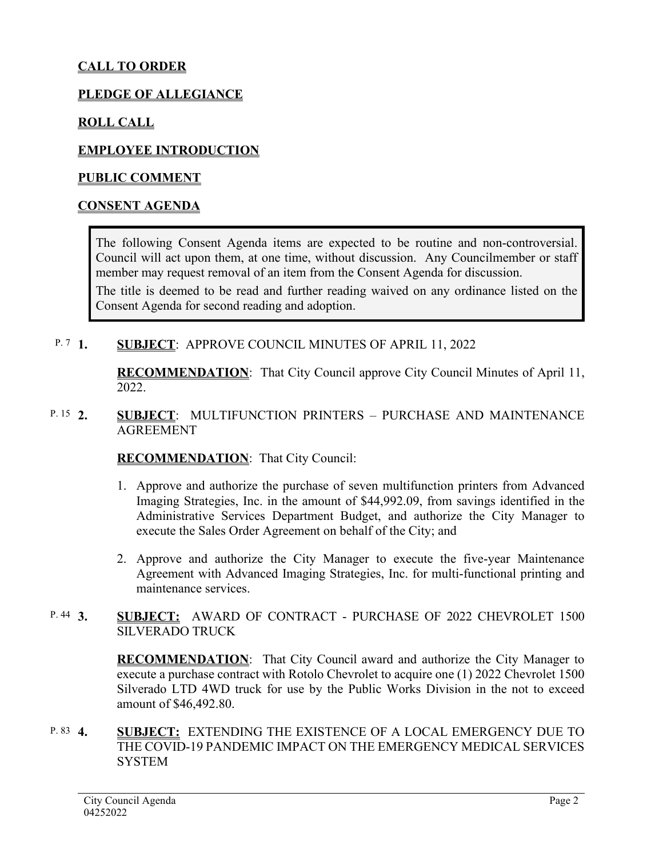# **CALL TO ORDER**

#### **PLEDGE OF ALLEGIANCE**

#### **ROLL CALL**

#### **EMPLOYEE INTRODUCTION**

#### **PUBLIC COMMENT**

#### **CONSENT AGENDA**

The following Consent Agenda items are expected to be routine and non-controversial. Council will act upon them, at one time, without discussion. Any Councilmember or staff member may request removal of an item from the Consent Agenda for discussion.

The title is deemed to be read and further reading waived on any ordinance listed on the Consent Agenda for second reading and adoption.

#### **1. SUBJECT**: APPROVE COUNCIL MINUTES OF APRIL 11, 2022  $P. 7 1.$

**RECOMMENDATION**:That City Council approve City Council Minutes of April 11, 2022.

#### **2. SUBJECT**: MULTIFUNCTION PRINTERS – PURCHASE AND MAINTENANCE AGREEMENT P. 15  $2$

#### **RECOMMENDATION**:That City Council:

- 1. Approve and authorize the purchase of seven multifunction printers from Advanced Imaging Strategies, Inc. in the amount of \$44,992.09, from savings identified in the Administrative Services Department Budget, and authorize the City Manager to execute the Sales Order Agreement on behalf of the City; and
- 2. Approve and authorize the City Manager to execute the five-year Maintenance Agreement with Advanced Imaging Strategies, Inc. for multi-functional printing and maintenance services.

#### **3. SUBJECT:** AWARD OF CONTRACT - PURCHASE OF 2022 CHEVROLET 1500 SILVERADO TRUCK P.  $44 \, 3$ .

**RECOMMENDATION**:That City Council award and authorize the City Manager to execute a purchase contract with Rotolo Chevrolet to acquire one (1) 2022 Chevrolet 1500 Silverado LTD 4WD truck for use by the Public Works Division in the not to exceed amount of \$46,492.80.

#### **4. SUBJECT:** EXTENDING THE EXISTENCE OF A LOCAL EMERGENCY DUE TO THE COVID-19 PANDEMIC IMPACT ON THE EMERGENCY MEDICAL SERVICES **SYSTEM** P. 83 4.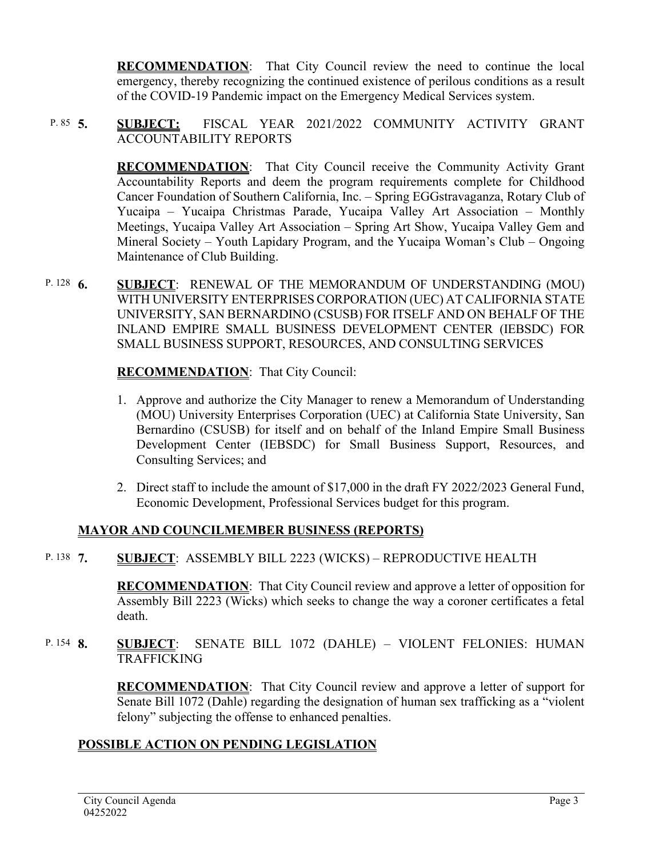**RECOMMENDATION**:That City Council review the need to continue the local emergency, thereby recognizing the continued existence of perilous conditions as a result of the COVID-19 Pandemic impact on the Emergency Medical Services system.

#### **5. SUBJECT:** FISCAL YEAR 2021/2022 COMMUNITY ACTIVITY GRANT ACCOUNTABILITY REPORTS P.  $85\quad 5.$

**RECOMMENDATION**:That City Council receive the Community Activity Grant Accountability Reports and deem the program requirements complete for Childhood Cancer Foundation of Southern California, Inc. – Spring EGGstravaganza, Rotary Club of Yucaipa – Yucaipa Christmas Parade, Yucaipa Valley Art Association – Monthly Meetings, Yucaipa Valley Art Association – Spring Art Show, Yucaipa Valley Gem and Mineral Society – Youth Lapidary Program, and the Yucaipa Woman's Club – Ongoing Maintenance of Club Building.

**6. SUBJECT**: RENEWAL OF THE MEMORANDUM OF UNDERSTANDING (MOU) WITH UNIVERSITY ENTERPRISES CORPORATION (UEC) AT CALIFORNIA STATE UNIVERSITY, SAN BERNARDINO (CSUSB) FOR ITSELF AND ON BEHALF OF THE INLAND EMPIRE SMALL BUSINESS DEVELOPMENT CENTER (IEBSDC) FOR SMALL BUSINESS SUPPORT, RESOURCES, AND CONSULTING SERVICES P. 128  $6.$ 

# **RECOMMENDATION**:That City Council:

- 1. Approve and authorize the City Manager to renew a Memorandum of Understanding (MOU) University Enterprises Corporation (UEC) at California State University, San Bernardino (CSUSB) for itself and on behalf of the Inland Empire Small Business Development Center (IEBSDC) for Small Business Support, Resources, and Consulting Services; and
- 2. Direct staff to include the amount of \$17,000 in the draft FY 2022/2023 General Fund, Economic Development, Professional Services budget for this program.

# **MAYOR AND COUNCILMEMBER BUSINESS (REPORTS)**

**7. SUBJECT**: ASSEMBLY BILL 2223 (WICKS) – REPRODUCTIVE HEALTH P. 138 7

> **RECOMMENDATION**:That City Council review and approve a letter of opposition for Assembly Bill 2223 (Wicks) which seeks to change the way a coroner certificates a fetal death.

**8. SUBJECT**: SENATE BILL 1072 (DAHLE) – VIOLENT FELONIES: HUMAN TRAFFICKING P. 154 **8.** 

> **RECOMMENDATION**:That City Council review and approve a letter of support for Senate Bill 1072 (Dahle) regarding the designation of human sex trafficking as a "violent felony" subjecting the offense to enhanced penalties.

# **POSSIBLE ACTION ON PENDING LEGISLATION**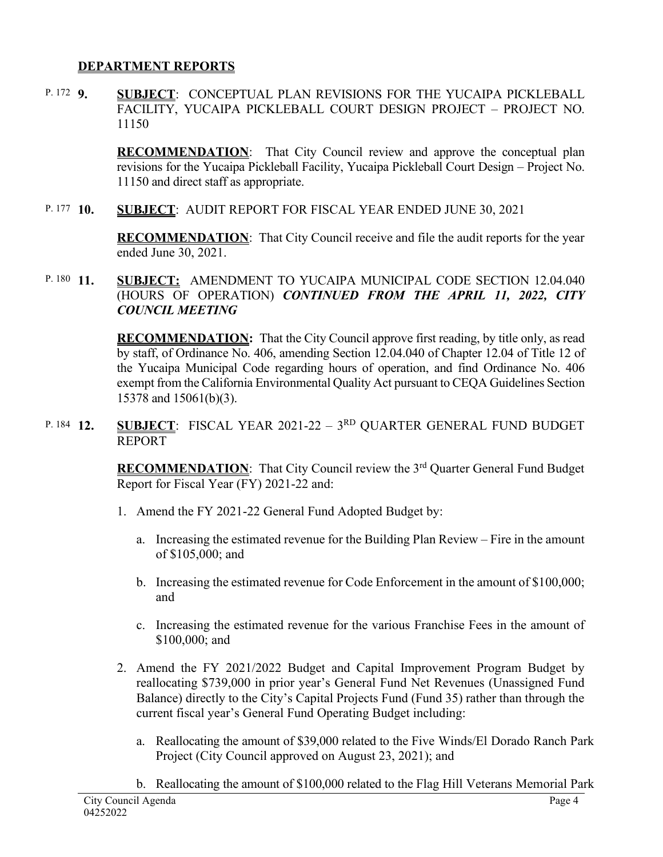### **DEPARTMENT REPORTS**

**9. SUBJECT**: CONCEPTUAL PLAN REVISIONS FOR THE YUCAIPA PICKLEBALL FACILITY, YUCAIPA PICKLEBALL COURT DESIGN PROJECT – PROJECT NO. 11150 P. 172 **Q** 

> **RECOMMENDATION:** That City Council review and approve the conceptual plan revisions for the Yucaipa Pickleball Facility, Yucaipa Pickleball Court Design – Project No. 11150 and direct staff as appropriate.

**10. SUBJECT**: AUDIT REPORT FOR FISCAL YEAR ENDED JUNE 30, 2021 P. 177  $10.$ 

> **RECOMMENDATION**:That City Council receive and file the audit reports for the year ended June 30, 2021.

**SUBJECT: AMENDMENT TO YUCAIPA MUNICIPAL CODE SECTION 12.04.040** (HOURS OF OPERATION) *CONTINUED FROM THE APRIL 11, 2022, CITY COUNCIL MEETING* P. 180  $11$ .

> **RECOMMENDATION:** That the City Council approve first reading, by title only, as read by staff, of Ordinance No. 406, amending Section 12.04.040 of Chapter 12.04 of Title 12 of the Yucaipa Municipal Code regarding hours of operation, and find Ordinance No. 406 exempt from the California Environmental Quality Act pursuant to CEQA Guidelines Section 15378 and 15061(b)(3).

**SUBJECT:** FISCAL YEAR 2021-22 – 3<sup>RD</sup> QUARTER GENERAL FUND BUDGET REPORT P. 184 12.

> **RECOMMENDATION:** That City Council review the 3<sup>rd</sup> Quarter General Fund Budget Report for Fiscal Year (FY) 2021-22 and:

- 1. Amend the FY 2021-22 General Fund Adopted Budget by:
	- a. Increasing the estimated revenue for the Building Plan Review Fire in the amount of \$105,000; and
	- b. Increasing the estimated revenue for Code Enforcement in the amount of \$100,000; and
	- c. Increasing the estimated revenue for the various Franchise Fees in the amount of \$100,000; and
- 2. Amend the FY 2021/2022 Budget and Capital Improvement Program Budget by reallocating \$739,000 in prior year's General Fund Net Revenues (Unassigned Fund Balance) directly to the City's Capital Projects Fund (Fund 35) rather than through the current fiscal year's General Fund Operating Budget including:
	- a. Reallocating the amount of \$39,000 related to the Five Winds/El Dorado Ranch Park Project (City Council approved on August 23, 2021); and
	- b. Reallocating the amount of \$100,000 related to the Flag Hill Veterans Memorial Park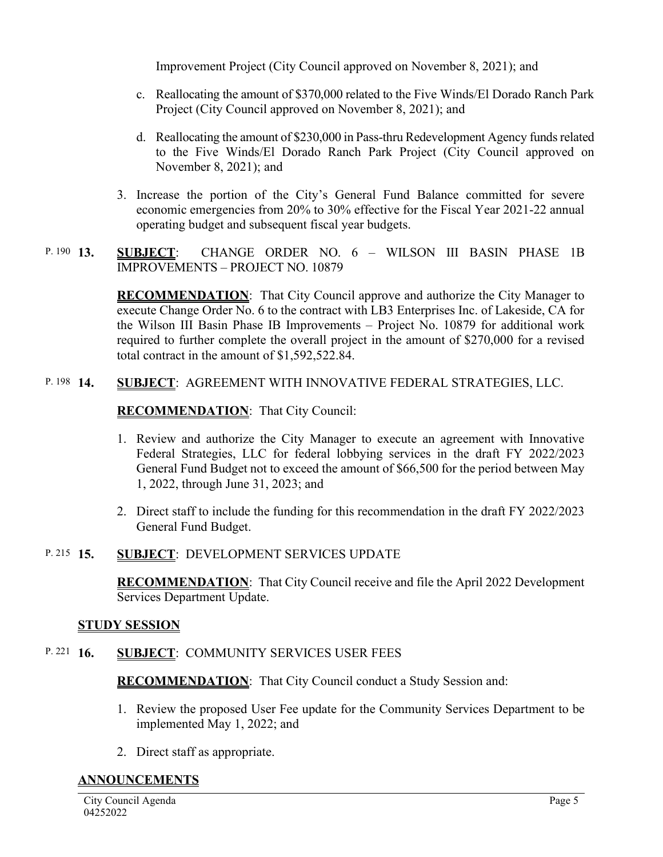Improvement Project (City Council approved on November 8, 2021); and

- c. Reallocating the amount of \$370,000 related to the Five Winds/El Dorado Ranch Park Project (City Council approved on November 8, 2021); and
- d. Reallocating the amount of \$230,000 in Pass-thru Redevelopment Agency funds related to the Five Winds/El Dorado Ranch Park Project (City Council approved on November 8, 2021); and
- 3. Increase the portion of the City's General Fund Balance committed for severe economic emergencies from 20% to 30% effective for the Fiscal Year 2021-22 annual operating budget and subsequent fiscal year budgets.
- **13. SUBJECT**: CHANGE ORDER NO. 6 WILSON III BASIN PHASE 1B IMPROVEMENTS – PROJECT NO. 10879 P. 190  $13$ .

**RECOMMENDATION:** That City Council approve and authorize the City Manager to execute Change Order No. 6 to the contract with LB3 Enterprises Inc. of Lakeside, CA for the Wilson III Basin Phase IB Improvements – Project No. 10879 for additional work required to further complete the overall project in the amount of \$270,000 for a revised total contract in the amount of \$1,592,522.84.

#### **14. SUBJECT**: AGREEMENT WITH INNOVATIVE FEDERAL STRATEGIES, LLC. P. 198 14.

### **RECOMMENDATION**:That City Council:

- 1. Review and authorize the City Manager to execute an agreement with Innovative Federal Strategies, LLC for federal lobbying services in the draft FY 2022/2023 General Fund Budget not to exceed the amount of \$66,500 for the period between May 1, 2022, through June 31, 2023; and
- 2. Direct staff to include the funding for this recommendation in the draft FY 2022/2023 General Fund Budget.

#### **15. SUBJECT**: DEVELOPMENT SERVICES UPDATE P. 215  $15$ .

**RECOMMENDATION**:That City Council receive and file the April 2022 Development Services Department Update.

#### **STUDY SESSION**

#### **16. SUBJECT**: COMMUNITY SERVICES USER FEES P. 221  $16.$

**RECOMMENDATION**:That City Council conduct a Study Session and:

- 1. Review the proposed User Fee update for the Community Services Department to be implemented May 1, 2022; and
- 2. Direct staff as appropriate.

#### **ANNOUNCEMENTS**